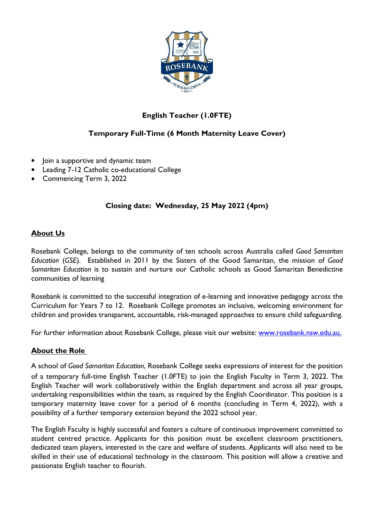

# **English Teacher (1.0FTE)**

## **Temporary Full-Time (6 Month Maternity Leave Cover)**

- Join a supportive and dynamic team
- Leading 7-12 Catholic co-educational College
- Commencing Term 3, 2022

### **Closing date: Wednesday, 25 May 2022 (4pm)**

#### **About Us**

Rosebank College, belongs to the community of ten schools across Australia called *Good Samaritan Education* (*GSE*). Established in 2011 by the Sisters of the Good Samaritan, the mission of *Good Samaritan Education* is to sustain and nurture our Catholic schools as Good Samaritan Benedictine communities of learning

Rosebank is committed to the successful integration of e-learning and innovative pedagogy across the Curriculum for Years 7 to 12. Rosebank College promotes an inclusive, welcoming environment for children and provides transparent, accountable, risk-managed approaches to ensure child safeguarding.

For further information about Rosebank College, please visit our website: [www.rosebank.nsw.edu.au.](http://www.rosebank.nsw.edu.au/)

### **About the Role**

A school of *Good Samaritan Education*, Rosebank College seeks expressions of interest for the position of a temporary full-time English Teacher (1.0FTE) to join the English Faculty in Term 3, 2022. The English Teacher will work collaboratively within the English department and across all year groups, undertaking responsibilities within the team, as required by the English Coordinator. This position is a temporary maternity leave cover for a period of 6 months (concluding in Term 4, 2022), with a possibility of a further temporary extension beyond the 2022 school year.

The English Faculty is highly successful and fosters a culture of continuous improvement committed to student centred practice. Applicants for this position must be excellent classroom practitioners, dedicated team players, interested in the care and welfare of students. Applicants will also need to be skilled in their use of educational technology in the classroom. This position will allow a creative and passionate English teacher to flourish.